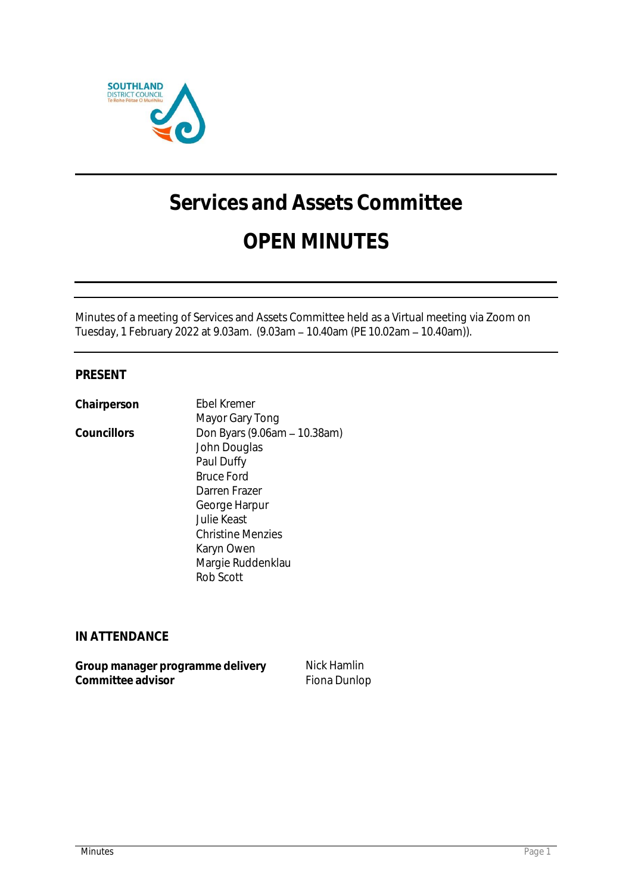

# **Services and Assets Committee**

## **OPEN MINUTES**

Minutes of a meeting of Services and Assets Committee held as a Virtual meeting via Zoom on Tuesday, 1 February 2022 at 9.03am. (9.03am - 10.40am (PE 10.02am - 10.40am)).

### **PRESENT**

**Chairperson** Ebel Kremer

Mayor Gary Tong Councillors Don Byars (9.06am – 10.38am) John Douglas Paul Duffy Bruce Ford Darren Frazer George Harpur Julie Keast Christine Menzies Karyn Owen Margie Ruddenklau Rob Scott

**IN ATTENDANCE**

| Group manager programme delivery | Nick Hamlin  |
|----------------------------------|--------------|
| Committee advisor                | Fiona Dunlop |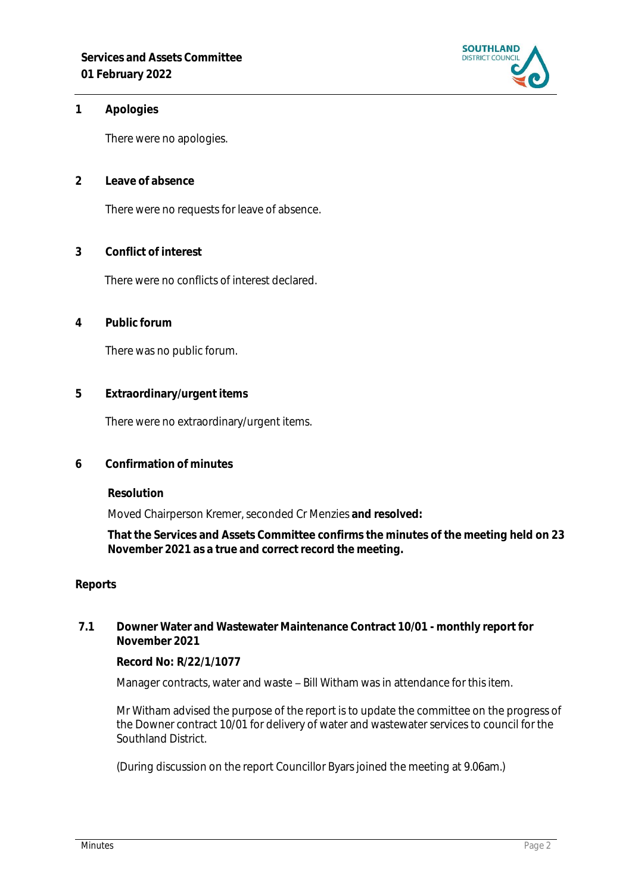

**1 Apologies** 

There were no apologies.

**2 Leave of absence** 

There were no requests for leave of absence.

**3 Conflict of interest**

There were no conflicts of interest declared.

**4 Public forum**

There was no public forum.

**5 Extraordinary/urgent items**

There were no extraordinary/urgent items.

**6 Confirmation of minutes**

**Resolution**

Moved Chairperson Kremer, seconded Cr Menzies **and resolved:**

**That the Services and Assets Committee confirms the minutes of the meeting held on 23 November 2021 as a true and correct record the meeting.**

#### **Reports**

**7.1 Downer Water and Wastewater Maintenance Contract 10/01 - monthly report for November 2021**

**Record No: R/22/1/1077**

Manager contracts, water and waste - Bill Witham was in attendance for this item.

Mr Witham advised the purpose of the report is to update the committee on the progress of the Downer contract 10/01 for delivery of water and wastewater services to council for the Southland District.

(During discussion on the report Councillor Byars joined the meeting at 9.06am.)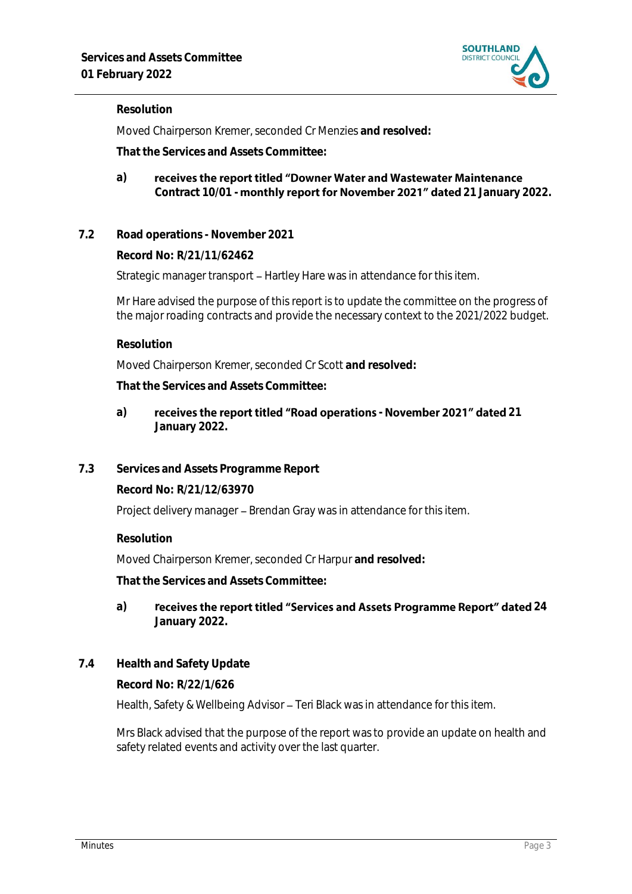

#### **Resolution**

Moved Chairperson Kremer, seconded Cr Menzies **and resolved:**

**That the Services and Assets Committee:**

#### receives the report titled "Downer Water and Wastewater Maintenance **a)** Contract 10/01 - **monthly report for November 2021" dated** 21 January 2022.

**7.2 Road operations - November 2021**

**Record No: R/21/11/62462**

Strategic manager transport – Hartley Hare was in attendance for this item.

Mr Hare advised the purpose of this report is to update the committee on the progress of the major roading contracts and provide the necessary context to the 2021/2022 budget.

**Resolution**

Moved Chairperson Kremer, seconded Cr Scott **and resolved:**

**That the Services and Assets Committee:**

- a) receives the report titled "Road operations November 2021" dated 21 **January 2022.**
- **7.3 Services and Assets Programme Report**

**Record No: R/21/12/63970**

Project delivery manager - Brendan Gray was in attendance for this item.

**Resolution**

Moved Chairperson Kremer, seconded Cr Harpur **and resolved:**

**That the Services and Assets Committee:**

- a) receives the report titled "Services and Assets Programme Report" dated 24 **January 2022.**
- **7.4 Health and Safety Update**

**Record No: R/22/1/626**

Health, Safety & Wellbeing Advisor - Teri Black was in attendance for this item.

Mrs Black advised that the purpose of the report was to provide an update on health and safety related events and activity over the last quarter.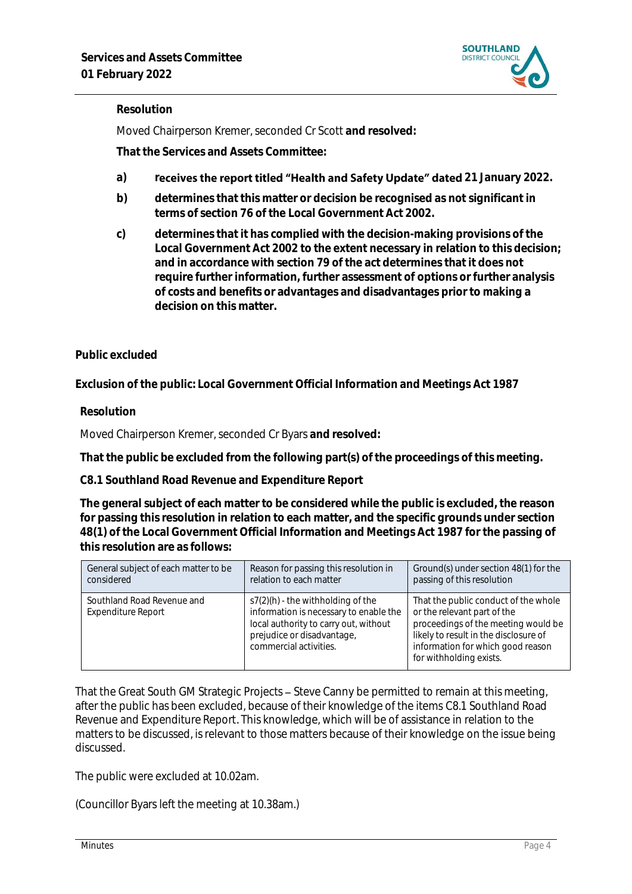

#### **Resolution**

Moved Chairperson Kremer, seconded Cr Scott **and resolved:**

**That the Services and Assets Committee:**

- a) **receives the report titled "Health and Safety Update" dated 21 January 2022.**
- **b) determines that this matter or decision be recognised as not significant in terms of section 76 of the Local Government Act 2002.**
- **c) determines that it has complied with the decision-making provisions of the Local Government Act 2002 to the extent necessary in relation to this decision; and in accordance with section 79 of the act determines that it does not require further information, further assessment of options or further analysis of costs and benefits or advantages and disadvantages prior to making a decision on this matter.**

### **Public excluded**

**Exclusion of the public: Local Government Official Information and Meetings Act 1987**

**Resolution**

Moved Chairperson Kremer, seconded Cr Byars **and resolved:**

**That the public be excluded from the following part(s) of the proceedings of this meeting.**

**C8.1 Southland Road Revenue and Expenditure Report**

**The general subject of each matter to be considered while the public is excluded, the reason for passing this resolution in relation to each matter, and the specific grounds under section 48(1) of the Local Government Official Information and Meetings Act 1987 for the passing of this resolution are as follows:**

| General subject of each matter to be             | Reason for passing this resolution in                                                                                                                                          | Ground(s) under section 48(1) for the                                                                                                                                                                               |
|--------------------------------------------------|--------------------------------------------------------------------------------------------------------------------------------------------------------------------------------|---------------------------------------------------------------------------------------------------------------------------------------------------------------------------------------------------------------------|
| considered                                       | relation to each matter                                                                                                                                                        | passing of this resolution                                                                                                                                                                                          |
| Southland Road Revenue and<br>Expenditure Report | $s7(2)(h)$ - the withholding of the<br>information is necessary to enable the<br>local authority to carry out, without<br>prejudice or disadvantage,<br>commercial activities. | That the public conduct of the whole<br>or the relevant part of the<br>proceedings of the meeting would be<br>likely to result in the disclosure of<br>information for which good reason<br>for withholding exists. |

That the Great South GM Strategic Projects – Steve Canny be permitted to remain at this meeting, after the public has been excluded, because of their knowledge of the items C8.1 Southland Road Revenue and Expenditure Report*.* This knowledge, which will be of assistance in relation to the matters to be discussed, is relevant to those matters because of their knowledge on the issue being discussed.

The public were excluded at 10.02am.

(Councillor Byars left the meeting at 10.38am.)